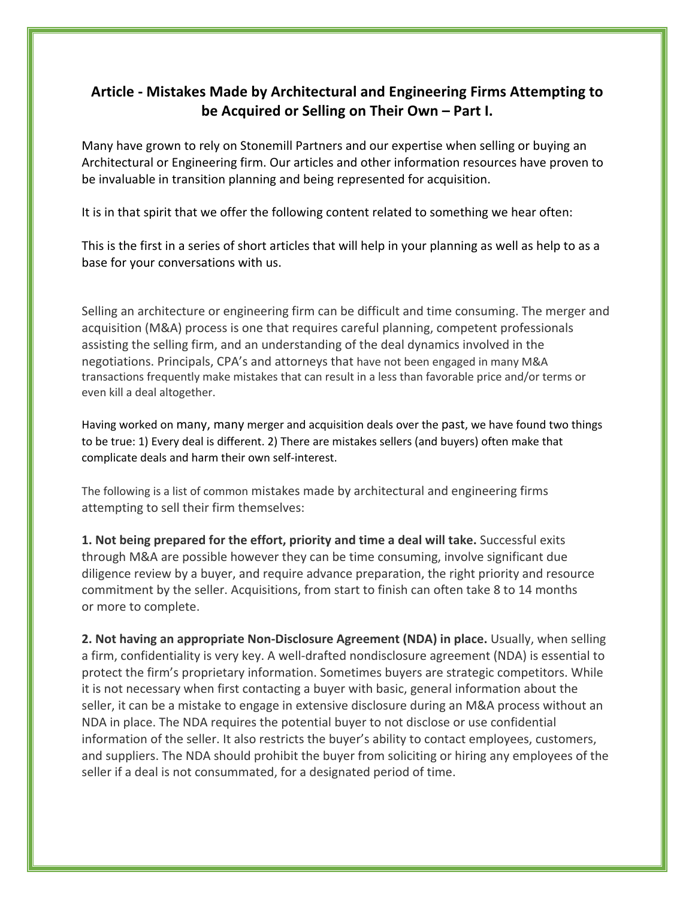## **Article - Mistakes Made by Architectural and Engineering Firms Attempting to be Acquired or Selling on Their Own – Part I.**

Many have grown to rely on Stonemill Partners and our expertise when selling or buying an Architectural or Engineering firm. Our articles and other information resources have proven to be invaluable in transition planning and being represented for acquisition.

It is in that spirit that we offer the following content related to something we hear often:

This is the first in a series of short articles that will help in your planning as well as help to as a base for your conversations with us.

Selling an architecture or engineering firm can be difficult and time consuming. The merger and acquisition (M&A) process is one that requires careful planning, competent professionals assisting the selling firm, and an understanding of the deal dynamics involved in the negotiations. Principals, CPA's and attorneys that have not been engaged in many M&A transactions frequently make mistakes that can result in a less than favorable price and/or terms or even kill a deal altogether.

Having worked on many, many merger and acquisition deals over the past, we have found two things to be true: 1) Every deal is different. 2) There are mistakes sellers (and buyers) often make that complicate deals and harm their own self-interest.

The following is a list of common mistakes made by architectural and engineering firms attempting to sell their firm themselves:

**1. Not being prepared for the effort, priority and time a deal will take.** Successful exits through M&A are possible however they can be time consuming, involve significant due diligence review by a buyer, and require advance preparation, the right priority and resource commitment by the seller. Acquisitions, from start to finish can often take 8 to 14 months or more to complete.

**2. Not having an appropriate Non-Disclosure Agreement (NDA) in place.** Usually, when selling a firm, confidentiality is very key. A well-drafted nondisclosure agreement (NDA) is essential to protect the firm's proprietary information. Sometimes buyers are strategic competitors. While it is not necessary when first contacting a buyer with basic, general information about the seller, it can be a mistake to engage in extensive disclosure during an M&A process without an NDA in place. The NDA requires the potential buyer to not disclose or use confidential information of the seller. It also restricts the buyer's ability to contact employees, customers, and suppliers. The NDA should prohibit the buyer from soliciting or hiring any employees of the seller if a deal is not consummated, for a designated period of time.